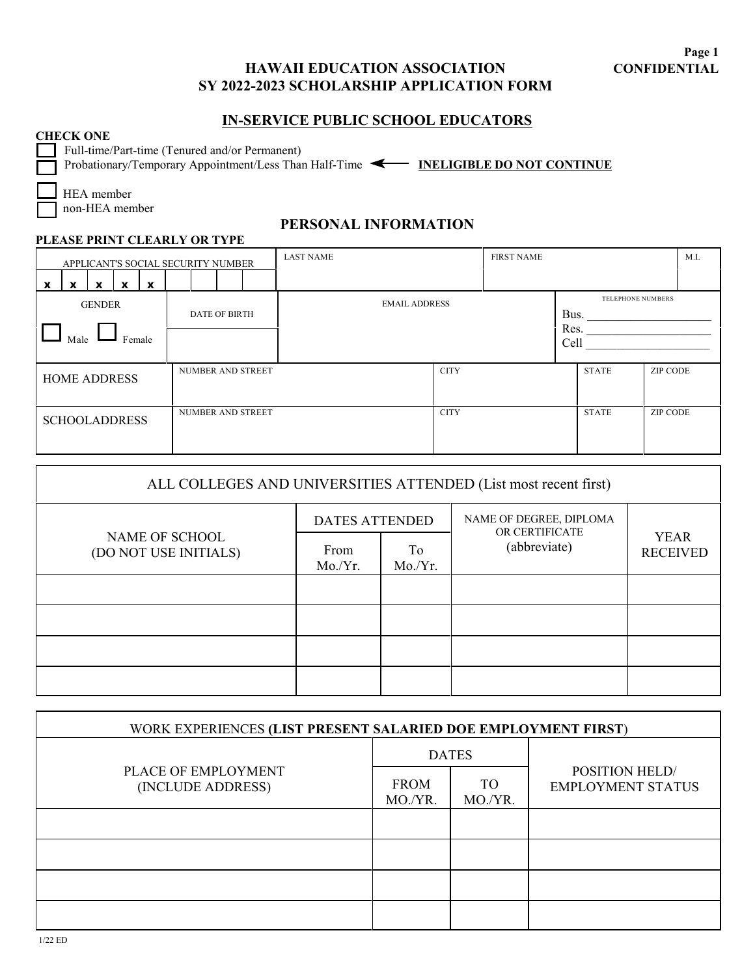## **HAWAII EDUCATION ASSOCIATION SY 2022-2023 SCHOLARSHIP APPLICATION FORM**

## **IN-SERVICE PUBLIC SCHOOL EDUCATORS**

#### **CHECK ONE**

Full-time/Part-time (Tenured and/or Permanent)

**PLEASE PRINT CLEARLY OR TYPE**

Probationary/Temporary Appointment/Less Than Half-Time **4 INELIGIBLE DO NOT CONTINUE** 

 HEA member non-HEA member

### **PERSONAL INFORMATION**

| APPLICANT'S SOCIAL SECURITY NUMBER                                 |                      | <b>LAST NAME</b><br><b>FIRST NAME</b> |  |                      | M.I.              |  |
|--------------------------------------------------------------------|----------------------|---------------------------------------|--|----------------------|-------------------|--|
| X<br>$\mathbf{x}$<br>x<br>$\boldsymbol{\mathsf{x}}$<br>$\mathbf x$ |                      |                                       |  |                      |                   |  |
| <b>GENDER</b><br>Male<br>Female                                    | <b>DATE OF BIRTH</b> | <b>EMAIL ADDRESS</b>                  |  | Bus.<br>Res.<br>Cell | TELEPHONE NUMBERS |  |
| <b>HOME ADDRESS</b>                                                | NUMBER AND STREET    | <b>CITY</b>                           |  | <b>STATE</b>         | ZIP CODE          |  |
| <b>SCHOOLADDRESS</b>                                               | NUMBER AND STREET    | <b>CITY</b>                           |  | <b>STATE</b>         | <b>ZIP CODE</b>   |  |

| ALL COLLEGES AND UNIVERSITIES ATTENDED (List most recent first) |                       |              |                                           |                                |  |  |  |
|-----------------------------------------------------------------|-----------------------|--------------|-------------------------------------------|--------------------------------|--|--|--|
|                                                                 | <b>DATES ATTENDED</b> |              | NAME OF DEGREE, DIPLOMA<br>OR CERTIFICATE |                                |  |  |  |
| NAME OF SCHOOL<br>(DO NOT USE INITIALS)                         | From<br>Mo/Yr.        | To<br>Mo/Yr. | (abbreviate)                              | <b>YEAR</b><br><b>RECEIVED</b> |  |  |  |
|                                                                 |                       |              |                                           |                                |  |  |  |
|                                                                 |                       |              |                                           |                                |  |  |  |
|                                                                 |                       |              |                                           |                                |  |  |  |
|                                                                 |                       |              |                                           |                                |  |  |  |

| WORK EXPERIENCES (LIST PRESENT SALARIED DOE EMPLOYMENT FIRST) |                        |                |                                                   |  |  |  |  |
|---------------------------------------------------------------|------------------------|----------------|---------------------------------------------------|--|--|--|--|
|                                                               | <b>DATES</b>           |                |                                                   |  |  |  |  |
| PLACE OF EMPLOYMENT<br>(INCLUDE ADDRESS)                      | <b>FROM</b><br>MO./YR. | TO.<br>MO./YR. | <b>POSITION HELD/</b><br><b>EMPLOYMENT STATUS</b> |  |  |  |  |
|                                                               |                        |                |                                                   |  |  |  |  |
|                                                               |                        |                |                                                   |  |  |  |  |
|                                                               |                        |                |                                                   |  |  |  |  |
|                                                               |                        |                |                                                   |  |  |  |  |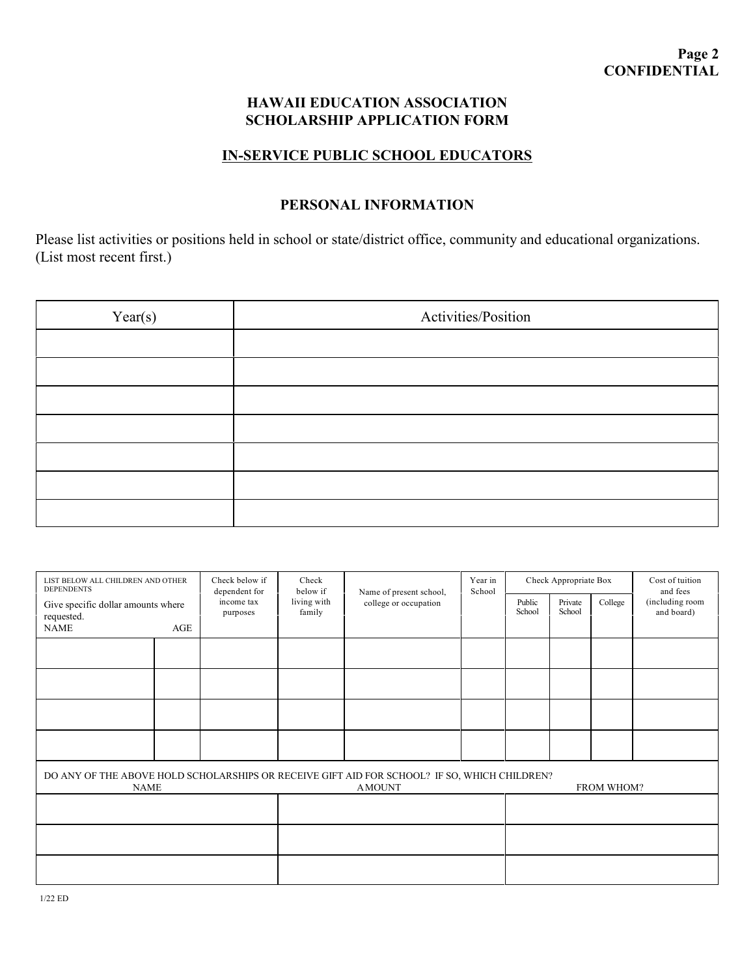### **HAWAII EDUCATION ASSOCIATION SCHOLARSHIP APPLICATION FORM**

## **IN-SERVICE PUBLIC SCHOOL EDUCATORS**

# **PERSONAL INFORMATION**

Please list activities or positions held in school or state/district office, community and educational organizations. (List most recent first.)

| Year(s) | Activities/Position |  |  |  |  |
|---------|---------------------|--|--|--|--|
|         |                     |  |  |  |  |
|         |                     |  |  |  |  |
|         |                     |  |  |  |  |
|         |                     |  |  |  |  |
|         |                     |  |  |  |  |
|         |                     |  |  |  |  |
|         |                     |  |  |  |  |

| LIST BELOW ALL CHILDREN AND OTHER<br><b>DEPENDENTS</b><br>Give specific dollar amounts where<br>requested. |     | Check below if<br>dependent for<br>income tax<br>purposes | Check<br>below if<br>living with<br>family | Name of present school,<br>college or occupation | Year in<br>School | Check Appropriate Box |                   |         | Cost of tuition<br>and fees   |
|------------------------------------------------------------------------------------------------------------|-----|-----------------------------------------------------------|--------------------------------------------|--------------------------------------------------|-------------------|-----------------------|-------------------|---------|-------------------------------|
|                                                                                                            |     |                                                           |                                            |                                                  |                   | Public<br>School      | Private<br>School | College | (including room<br>and board) |
| <b>NAME</b>                                                                                                | AGE |                                                           |                                            |                                                  |                   |                       |                   |         |                               |
|                                                                                                            |     |                                                           |                                            |                                                  |                   |                       |                   |         |                               |
|                                                                                                            |     |                                                           |                                            |                                                  |                   |                       |                   |         |                               |
|                                                                                                            |     |                                                           |                                            |                                                  |                   |                       |                   |         |                               |
|                                                                                                            |     |                                                           |                                            |                                                  |                   |                       |                   |         |                               |
|                                                                                                            |     |                                                           |                                            |                                                  |                   |                       |                   |         |                               |
|                                                                                                            |     |                                                           |                                            |                                                  |                   |                       |                   |         |                               |
| DO ANY OF THE ABOVE HOLD SCHOLARSHIPS OR RECEIVE GIFT AID FOR SCHOOL? IF SO, WHICH CHILDREN?               |     |                                                           |                                            |                                                  |                   |                       |                   |         |                               |
| <b>NAME</b>                                                                                                |     |                                                           | <b>AMOUNT</b>                              |                                                  |                   | FROM WHOM?            |                   |         |                               |
|                                                                                                            |     |                                                           |                                            |                                                  |                   |                       |                   |         |                               |
|                                                                                                            |     |                                                           |                                            |                                                  |                   |                       |                   |         |                               |
|                                                                                                            |     |                                                           |                                            |                                                  |                   |                       |                   |         |                               |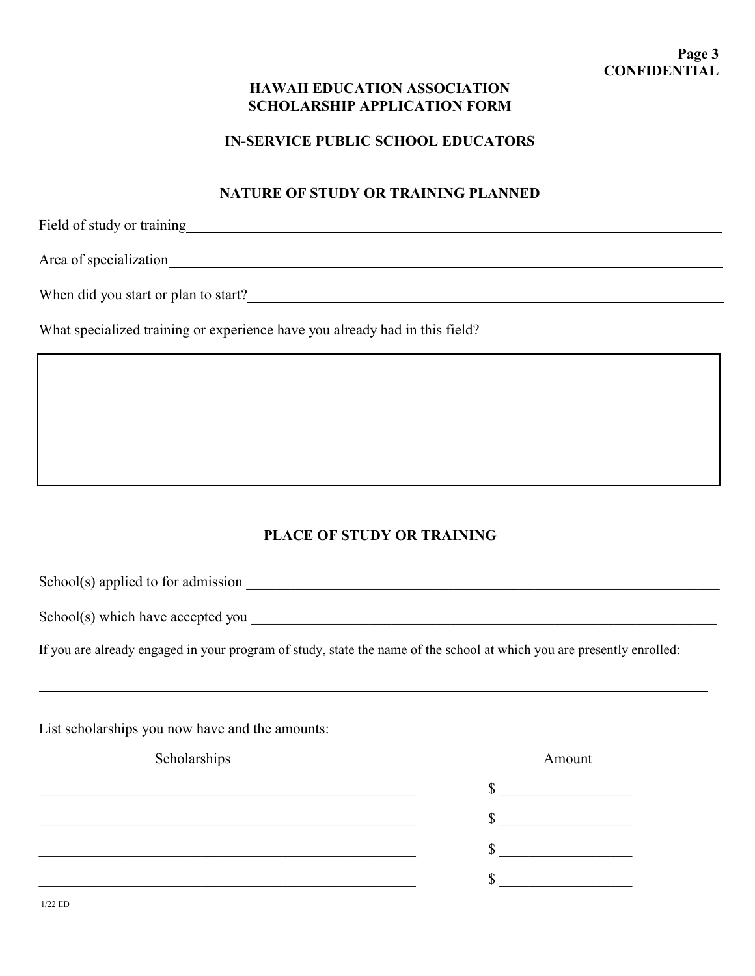### **HAWAII EDUCATION ASSOCIATION SCHOLARSHIP APPLICATION FORM**

### **IN-SERVICE PUBLIC SCHOOL EDUCATORS**

### **NATURE OF STUDY OR TRAINING PLANNED**

Field of study or training https://www.assett.com/community/induced/community/induced/community/induced/community/induced/community/induced/community/induced/community/induced/community/induced/community/induced/community/

Area of specialization

When did you start or plan to start?<br>
<u>
When did you start or plan to start?</u>

What specialized training or experience have you already had in this field?

## **PLACE OF STUDY OR TRAINING**

School(s) applied to for admission \_\_\_\_\_\_\_\_\_\_\_\_\_\_\_\_\_\_\_\_\_\_\_\_\_\_\_\_\_\_\_\_\_\_\_\_\_\_\_\_\_\_\_\_\_\_\_\_\_\_\_\_\_\_\_\_\_\_\_\_\_\_\_\_

School(s) which have accepted you  $\blacksquare$ 

If you are already engaged in your program of study, state the name of the school at which you are presently enrolled:

List scholarships you now have and the amounts:

#### Scholarships Amount

\_\_\_\_\_\_\_\_\_\_\_\_\_\_\_\_\_\_\_\_\_\_\_\_\_\_\_\_\_\_\_\_\_\_\_\_\_\_\_\_\_\_\_\_\_\_\_\_\_\_\_ \$ \_\_\_\_\_\_\_\_\_\_\_\_\_\_\_\_\_\_  $\frac{\text{S}}{\text{S}}$ \_\_\_\_\_\_\_\_\_\_\_\_\_\_\_\_\_\_\_\_\_\_\_\_\_\_\_\_\_\_\_\_\_\_\_\_\_\_\_\_\_\_\_\_\_\_\_\_\_\_\_ \$ \_\_\_\_\_\_\_\_\_\_\_\_\_\_\_\_\_\_  $\mathbb{S}$ 

1/22 ED